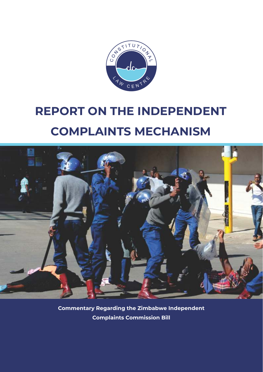

# **REPORT ON THE INDEPENDENT COMPLAINTS MECHANISM**



**Commentary Regarding the Zimbabwe Independent Complaints Commission Bill**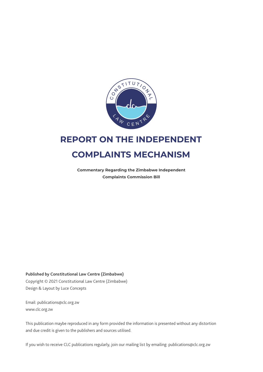

# **REPORT ON THE INDEPENDENT COMPLAINTS MECHANISM**

**Commentary Regarding the Zimbabwe Independent Complaints Commission Bill**

Design & Layout by Luce Concepts **Published by Constitutional Law Centre (Zimbabwe)** Copyright © 2021 Constitutional Law Centre (Zimbabwe)

www.clc.org.zw Email: publications@clc.org.zw

This publication maybe reproduced in any form provided the information is presented without any distortion and due credit is given to the publishers and sources utilised.

If you wish to receive CLC publications regularly, join our mailing list by emailing: publications@clc.org.zw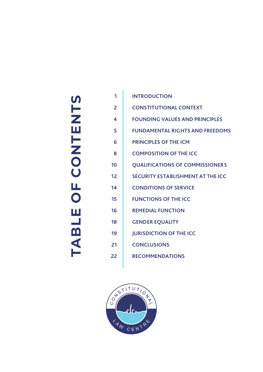# TABLE OF CONTENTS **ABLE OF CONTENTS**

| 1  | <b>INTRODUCTION</b>                      |
|----|------------------------------------------|
| 2  | <b>CONSTITUTIONAL CONTEXT</b>            |
| 4  | <b>FOUNDING VALUES AND PRINCIPLES</b>    |
| 5  | <b>FUNDAMENTAL RIGHTS AND FREEDOMS</b>   |
| 6  | <b>PRINCIPLES OF THE ICM</b>             |
| 8  | <b>COMPOSITION OF THE ICC</b>            |
| 10 | <b>QUALIFICATIONS OF COMMISSIONERS</b>   |
| 12 | <b>SECURITY ESTABLISHMENT AT THE ICC</b> |
| 14 | <b>CONDITIONS OF SERVICE</b>             |
| 15 | <b>FUNCTIONS OF THE ICC</b>              |
| 16 | <b>REMEDIAL FUNCTION</b>                 |
| 18 | <b>GENDER EQUALITY</b>                   |
| 19 | <b>JURISDICTION OF THE ICC</b>           |
| 21 | <b>CONCLUSIONS</b>                       |
| 22 | <b>RECOMMENDATIONS</b>                   |
|    |                                          |

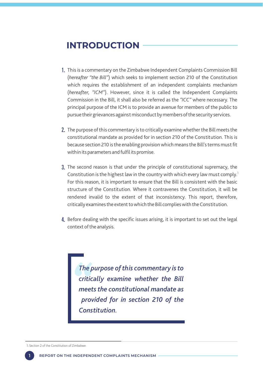# **INTRODUCTION**

- This is a commentary on the Zimbabwe Independent Complaints Commission Bill 1. (*hereafter "the Bill"*) which seeks to implement section 210 of the Constitution which requires the establishment of an independent complaints mechanism (*hereafter, "ICM"*). However, since it is called the Independent Complaints Commission in the Bill, it shall also be referred as the *"ICC"* where necessary. The principal purpose of the ICM is to provide an avenue for members of the public to pursue their grievances against misconduct by members of the security services.
- 2. The purpose of this commentary is to critically examine whether the Bill meets the constitutional mandate as provided for in section 210 of the Constitution. This is because section 210 is the enabling provision which means the Bill's terms must fit within its parameters and fulfil its promise.
- **3.** The second reason is that under the principle of constitutional supremacy, the Constitution is the highest law in the country with which every law must comply.<sup>1</sup> For this reason, it is important to ensure that the Bill is consistent with the basic structure of the Constitution. Where it contravenes the Constitution, it will be rendered invalid to the extent of that inconsistency. This report, therefore, critically examines the extent to which the Bill complies with the Constitution.
- 4. Before dealing with the specific issues arising, it is important to set out the legal context of the analysis.

*The purpose of this commentary is to critically examine whether the Bill meets the constitutional mandate as provided for in section 210 of the Constitution.* 

1. Section 2 of the Constitution of Zimbabwe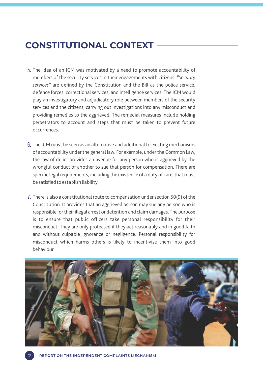# **CONSTITUTIONAL CONTEXT**

- **5.** The idea of an ICM was motivated by a need to promote accountability of members of the security services in their engagements with citizens. *"Security services"* are defined by the Constitution and the Bill as the police service, defence forces, correctional services, and intelligence services. The ICM would play an investigatory and adjudicatory role between members of the security services and the citizens, carrying out investigations into any misconduct and providing remedies to the aggrieved. The remedial measures include holding perpetrators to account and steps that must be taken to prevent future occurrences.
- **6.** The ICM must be seen as an alternative and additional to existing mechanisms of accountability under the general law. For example, under the Common Law, the law of delict provides an avenue for any person who is aggrieved by the wrongful conduct of another to sue that person for compensation. There are specific legal requirements, including the existence of a duty of care, that must be satisfied to establish liability.
- There is also a constitutional route to compensation under section 50(9) of the 7. Constitution. It provides that an aggrieved person may sue any person who is responsible for their illegal arrest or detention and claim damages. The purpose is to ensure that public officers take personal responsibility for their misconduct. They are only protected if they act reasonably and in good faith and without culpable ignorance or negligence. Personal responsibility for misconduct which harms others is likely to incentivise them into good behaviour.

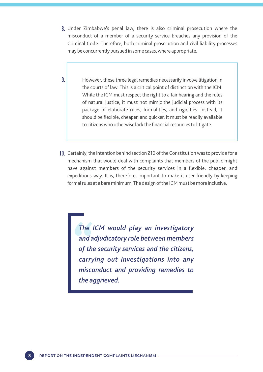- Under Zimbabwe's penal law, there is also criminal prosecution where the 8. misconduct of a member of a security service breaches any provision of the Criminal Code. Therefore, both criminal prosecution and civil liability processes may be concurrently pursued in some cases, where appropriate.
- However, these three legal remedies necessarily involve litigation in the courts of law. This is a critical point of distinction with the ICM. While the ICM must respect the right to a fair hearing and the rules of natural justice, it must not mimic the judicial process with its package of elaborate rules, formalities, and rigidities. Instead, it should be flexible, cheaper, and quicker. It must be readily available to citizens who otherwise lack the financial resources to litigate. 9.
- 10. Certainly, the intention behind section 210 of the Constitution was to provide for a mechanism that would deal with complaints that members of the public might have against members of the security services in a flexible, cheaper, and expeditious way. It is, therefore, important to make it user-friendly by keeping formal rules at a bare minimum. The design of the ICM must be more inclusive.

*The ICM would play an investigatory and adjudicatory role between members of the security services and the citizens, carrying out investigations into any misconduct and providing remedies to the aggrieved.*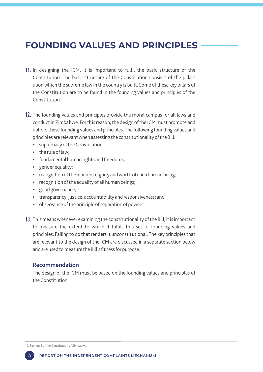# **FOUNDING VALUES AND PRINCIPLES**

- 11. In designing the ICM, it is important to fulfil the basic structure of the Constitution. The basic structure of the Constitution consists of the pillars upon which the supreme law in the country is built. Some of these key pillars of the Constitution are to be found in the founding values and principles of the Constitution.
- 12. The founding values and principles provide the moral campus for all laws and conduct in Zimbabwe. For this reason, the design of the ICM must promote and uphold these founding values and principles. The following founding values and principles are relevant when assessing the constitutionality of the Bill:
	- supremacy of the Constitution;
	- $\cdot$  the rule of law;
	- fundamental human rights and freedoms;
	- gender equality;
	- recognition of the inherent dignity and worth of each human being;
	- $\cdot$  recognition of the equality of all human beings;
	- good governance;
	- transparency, justice, accountability and responsiveness; and
	- observance of the principle of separation of powers.
- 13. This means whenever examining the constitutionality of the Bill, it is important to measure the extent to which it fulfils this set of founding values and principles. Failing to do that renders it unconstitutional. The key principles that are relevant to the design of the ICM are discussed in a separate section below and are used to measure the Bill's fitness for purpose.

### **Recommendation**

The design of the ICM must be based on the founding values and principles of the Constitution.

2. Section 3 of the Constitution of Zimbabwe

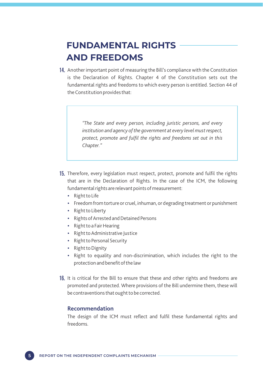# **FUNDAMENTAL RIGHTS AND FREEDOMS**

14. Another important point of measuring the Bill's compliance with the Constitution is the Declaration of Rights. Chapter 4 of the Constitution sets out the fundamental rights and freedoms to which every person is entitled. Section 44 of the Constitution provides that:

> *"The State and every person, including juristic persons, and every institution and agency of the government at every level must respect, protect, promote and fulfil the rights and freedoms set out in this Chapter."*

- 15. Therefore, every legislation must respect, protect, promote and fulfil the rights that are in the Declaration of Rights. In the case of the ICM, the following fundamental rights are relevant points of measurement:
	- $\cdot$  Right to Life
	- Freedom from torture or cruel, inhuman, or degrading treatment or punishment
	- Right to Liberty
	- Rights of Arrested and Detained Persons
	- Right to a Fair Hearing
	- Right to Administrative Justice
	- Right to Personal Security
	- Right to Dignity
	- Right to equality and non-discrimination, which includes the right to the protection and benefit of the law
- 16. It is critical for the Bill to ensure that these and other rights and freedoms are promoted and protected. Where provisions of the Bill undermine them, these will be contraventions that ought to be corrected.

### **Recommendation**

The design of the ICM must reflect and fulfil these fundamental rights and freedoms.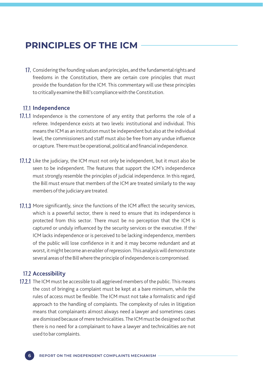# **PRINCIPLES OF THE ICM**

17. Considering the founding values and principles, and the fundamental rights and freedoms in the Constitution, there are certain core principles that must provide the foundation for the ICM. This commentary will use these principles to critically examine the Bill's compliance with the Constitution.

### 17.1 Independence

- 17.1.1 Independence is the cornerstone of any entity that performs the role of a referee. Independence exists at two levels: institutional and individual. This means the ICM as an institution must be independent but also at the individual level, the commissioners and staff must also be free from any undue influence or capture. There must be operational, political and financial independence.
- 17.1.2 Like the judiciary, the ICM must not only be independent, but it must also be seen to be independent. The features that support the ICM's independence must strongly resemble the principles of judicial independence. In this regard, the Bill must ensure that members of the ICM are treated similarly to the way members of the judiciary are treated.
- 17.1.3 More significantly, since the functions of the ICM affect the security services, which is a powerful sector, there is need to ensure that its independence is protected from this sector. There must be no perception that the ICM is captured or unduly influenced by the security services or the executive. If the ICM lacks independence or is perceived to be lacking independence, members of the public will lose confidence in it and it may become redundant and at worst, it might become an enabler of repression. This analysis will demonstrate several areas of the Bill where the principle of independence is compromised.

### **Accessibility** 17.2

17.2.1 The ICM must be accessible to all aggrieved members of the public. This means the cost of bringing a complaint must be kept at a bare minimum, while the rules of access must be flexible. The ICM must not take a formalistic and rigid approach to the handling of complaints. The complexity of rules in litigation means that complainants almost always need a lawyer and sometimes cases are dismissed because of mere technicalities. The ICM must be designed so that there is no need for a complainant to have a lawyer and technicalities are not used to bar complaints.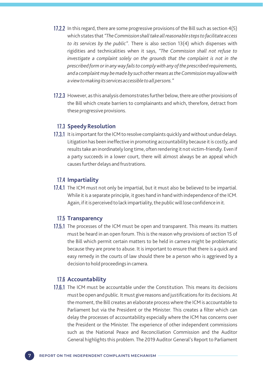- 17.2.2 In this regard, there are some progressive provisions of the Bill such as section 4(5) which states that *"The Commission shall take all reasonable steps to facilitate access to its services by the public"*. There is also section 13(4) which dispenses with rigidities and technicalities when it says, *"The Commission shall not refuse to investigate a complaint solely on the grounds that the complaint is not in the prescribed form or in any way fails to comply with any of the prescribed requirements, and a complaint may be made by such other means as the Commission may allow with a view to making its services accessible to all persons."*
- 17.2.3 However, as this analysis demonstrates further below, there are other provisions of the Bill which create barriers to complainants and which, therefore, detract from these progressive provisions.

### 17.3 Speedy Resolution

17.3.1 It is important for the ICM to resolve complaints quickly and without undue delays. Litigation has been ineffective in promoting accountability because it is costly, and results take an inordinately long time, often rendering it not victim-friendly. Even if a party succeeds in a lower court, there will almost always be an appeal which causes further delays and frustrations.

### 17.4 Impartiality

17.4.1 The ICM must not only be impartial, but it must also be believed to be impartial. While it is a separate principle, it goes hand in hand with independence of the ICM. Again, if it is perceived to lack impartiality, the public will lose confidence in it.

### 17.5 Transparency

17.5.1 The processes of the ICM must be open and transparent. This means its matters must be heard in an open forum. This is the reason why provisions of section 15 of the Bill which permit certain matters to be held in camera might be problematic because they are prone to abuse. It is important to ensure that there is a quick and easy remedy in the courts of law should there be a person who is aggrieved by a decision to hold proceedings in camera.

### **Accountability** 17.6

17.6.1 The ICM must be accountable under the Constitution. This means its decisions must be open and public. It must give reasons and justifications for its decisions. At the moment, the Bill creates an elaborate process where the ICM is accountable to Parliament but via the President or the Minister. This creates a filter which can delay the processes of accountability especially where the ICM has concerns over the President or the Minister. The experience of other independent commissions such as the National Peace and Reconciliation Commission and the Auditor General highlights this problem. The 2019 Auditor General's Report to Parliament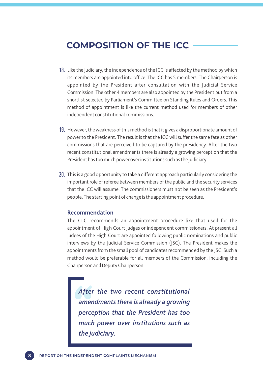# **COMPOSITION OF THE ICC**

- 18. Like the judiciary, the independence of the ICC is affected by the method by which its members are appointed into office. The ICC has 5 members. The Chairperson is appointed by the President after consultation with the Judicial Service Commission. The other 4 members are also appointed by the President but from a shortlist selected by Parliament's Committee on Standing Rules and Orders. This method of appointment is like the current method used for members of other independent constitutional commissions.
- 19. However, the weakness of this method is that it gives a disproportionate amount of power to the President. The result is that the ICC will suffer the same fate as other commissions that are perceived to be captured by the presidency. After the two recent constitutional amendments there is already a growing perception that the President has too much power over institutions such as the judiciary.
- 20. This is a good opportunity to take a different approach particularly considering the important role of referee between members of the public and the security services that the ICC will assume. The commissioners must not be seen as the President's people. The starting point of change is the appointment procedure.

### **Recommendation**

The CLC recommends an appointment procedure like that used for the appointment of High Court judges or independent commissioners. At present all judges of the High Court are appointed following public nominations and public interviews by the Judicial Service Commission (JSC). The President makes the appointments from the small pool of candidates recommended by the JSC. Such a method would be preferable for all members of the Commission, including the Chairperson and Deputy Chairperson.

*After the two recent constitutional amendments there is already a growing perception that the President has too much power over institutions such as the judiciary.*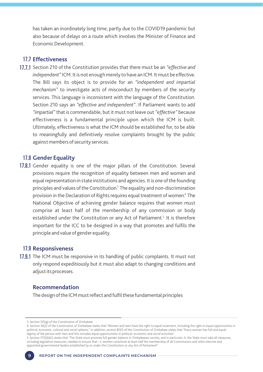has taken an inordinately long time, partly due to the COVID19 pandemic but also because of delays on a route which involves the Minister of Finance and Economic Development.

### **Effectiveness** 17.7

17.7.1 Section 210 of the Constitution provides that there must be an "effective and *independent"*ICM. It is not enough merely to have an ICM. It must be effective. The Bill says its object is to provide for an *"independent and impartial mechanism"* to investigate acts of misconduct by members of the security services. This language is inconsistent with the language of the Constitution. Section 210 says an *"effective and independent"*. If Parliament wants to add *"impartial"*that is commendable, but it must not leave out *"effective"* because effectiveness is a fundamental principle upon which the ICM is built. Ultimately, effectiveness is what the ICM should be established for, to be able to meaningfully and definitively resolve complaints brought by the public against members of security services.

### **Gender Equality** 17.8

17.8.1 Gender equality is one of the major pillars of the Constitution. Several provisions require the recognition of equality between men and women and equal representation in state institutions and agencies. It is one of the founding principles and values of the Constitution.<sup>3</sup> The equality and non-discrimination provision in the Declaration of Rights requires equal treatment of women.<sup>4</sup> The National Objective of achieving gender balance requires that women must comprise at least half of the membership of any commission or body established under the Constitution or any Act of Parliament.<sup>5</sup> It is therefore important for the ICC to be designed in a way that promotes and fulfils the principle and value of gender equality.

### 17.9 Responsiveness

17.9.1 The ICM must be responsive in its handling of public complaints. It must not only respond expeditiously but it must also adapt to changing conditions and adjust its processes.

### **Recommendation**

The design of the ICM must reflect and fulfil these fundamental principles

<sup>3.</sup> Section  $3(1)(g)$  of the Constitution of Zimbabwe

<sup>4.</sup> Section 56(2) of the Constitution of Zimbabwe states that "Women and men have the right to equal treatment, including the right to equal opportunities in political, economic, cultural and social spheres." In addition, section 80(1) of the Constitution of Zimbabwe states that "Every woman has full and equal dignity of the person with men and this includes equal opportunities in political, economic and social activities"

<sup>.</sup> Section ()(b)(ii) states that "The State must promote full gender balance in Zimbabwean society, and in particular--b. the State must take all measures, including legislative measures, needed to ensure that-- ii. women constitute at least half the membership of all Commissions and other elective and appointed governmental bodies established by or under this Constitution or any Act of Parliament"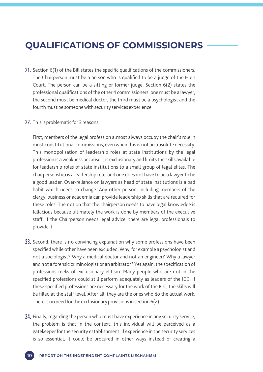# **QUALIFICATIONS OF COMMISSIONERS**

- **21.** Section  $6(1)$  of the Bill states the specific qualifications of the commissioners. The Chairperson must be a person who is qualified to be a judge of the High Court. The person can be a sitting or former judge. Section 6(2) states the professional qualifications of the other 4 commissioners: one must be a lawyer, the second must be medical doctor, the third must be a psychologist and the fourth must be someone with security services experience.
- 22. This is problematic for 3 reasons.

First, members of the legal profession almost always occupy the chair's role in most constitutional commissions, even when this is not an absolute necessity. This monopolisation of leadership roles at state institutions by the legal profession is a weakness because it is exclusionary and limits the skills available for leadership roles of state institutions to a small group of legal elites. The chairpersonship is a leadership role, and one does not have to be a lawyer to be a good leader. Over-reliance on lawyers as head of state institutions is a bad habit which needs to change. Any other person, including members of the clergy, business or academia can provide leadership skills that are required for these roles. The notion that the chairperson needs to have legal knowledge is fallacious because ultimately the work is done by members of the executive staff. If the Chairperson needs legal advice, there are legal professionals to provide it.

- 23. Second, there is no convincing explanation why some professions have been specified while other have been excluded. Why, for example a psychologist and not a sociologist? Why a medical doctor and not an engineer? Why a lawyer and not a forensic criminologist or an arbitrator? Yet again, the specification of professions reeks of exclusionary elitism. Many people who are not in the specified professions could still perform adequately as leaders of the ICC. If these specified professions are necessary for the work of the ICC, the skills will be filled at the staff level. After all, they are the ones who do the actual work. There is no need for the exclusionary provisions in section 6(2).
- 24. Finally, regarding the person who must have experience in any security service, the problem is that in the context, this individual will be perceived as a gatekeeper for the security establishment. If experience in the security services is so essential, it could be procured in other ways instead of creating a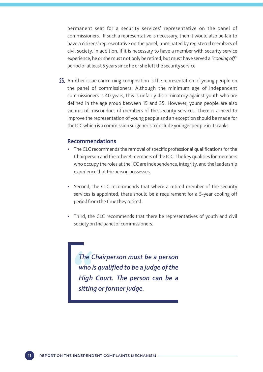permanent seat for a security services' representative on the panel of commissioners. If such a representative is necessary, then it would also be fair to have a citizens' representative on the panel, nominated by registered members of civil society. In addition, if it is necessary to have a member with security service experience, he or she must not only be retired, but must have served a *"cooling off"*  period of at least 5 years since he or she left the security service.

25. Another issue concerning composition is the representation of young people on the panel of commissioners. Although the minimum age of independent commissioners is 40 years, this is unfairly discriminatory against youth who are defined in the age group between 15 and 35. However, young people are also victims of misconduct of members of the security services. There is a need to improve the representation of young people and an exception should be made for the ICC which is a commission sui generis to include younger people in its ranks.

### **Recommendations**

- The CLC recommends the removal of specific professional qualifications for the Chairperson and the other 4 members of the ICC. The key qualities for members who occupy the roles at the ICC are independence, integrity, and the leadership experience that the person possesses.
- Second, the CLC recommends that where a retired member of the security services is appointed, there should be a requirement for a 5-year cooling off period from the time they retired.
- Third, the CLC recommends that there be representatives of youth and civil society on the panel of commissioners.

*The Chairperson must be a person who is qualified to be a judge of the High Court. The person can be a sitting or former judge.*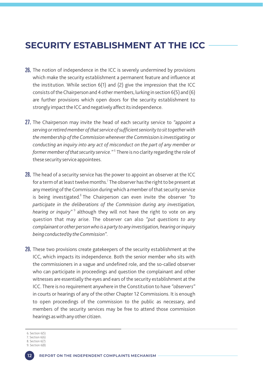# **SECURITY ESTABLISHMENT AT THE ICC**

- 26. The notion of independence in the ICC is severely undermined by provisions which make the security establishment a permanent feature and influence at the institution. While section 6(1) and (2) give the impression that the ICC consists of the Chairperson and 4 other members, lurking in section 6(5) and (6) are further provisions which open doors for the security establishment to strongly impact the ICC and negatively affect its independence.
- The Chairperson may invite the head of each security service to *"appoint a*  27. *serving or retired member of that service of sufficient seniority to sit together with the membership of the Commission whenever the Commission is investigating or conducting an inquiry into any act of misconduct on the part of any member or former member of that security service."* There is no clarity regarding the role of these security service appointees.
- $28.$  The head of a security service has the power to appoint an observer at the ICC for a term of at least twelve months.<sup>7</sup> The observer has the right to be present at any meeting of the Commission during which a member of that security service is being investigated.<sup>8</sup> The Chairperson can even invite the observer "to *participate in the deliberations of the Commission during any investigation, hearing or inquiry"* although they will not have the right to vote on any question that may arise. The observer can also *"put questions to any complainant or other person who is a party to any investigation, hearing or inquiry being conducted by the Commission".*
- 29. These two provisions create gatekeepers of the security establishment at the ICC, which impacts its independence. Both the senior member who sits with the commissioners in a vague and undefined role, and the so-called observer who can participate in proceedings and question the complainant and other witnesses are essentially the eyes and ears of the security establishment at the ICC. There is no requirement anywhere in the Constitution to have *"observers"* in courts or hearings of any of the other Chapter 12 Commissions. It is enough to open proceedings of the commission to the public as necessary, and members of the security services may be free to attend those commission hearings as with any other citizen.
- $6.$  Section  $6(5)$
- 7. Section  $6(6)$ 8. Section  $6(7)$

<sup>9.</sup> Section  $6(8)$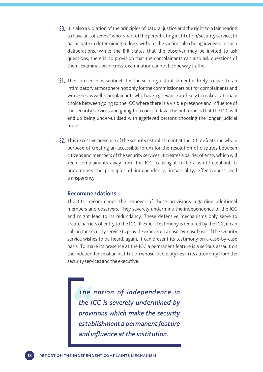- It is also a violation of the principles of natural justice and the right to a fair hearing 30. to have an *"observer"*who is part of the perpetrating institution/security service, to participate in determining redress without the victims also being involved in such deliberations. While the Bill states that the observer may be invited to ask questions, there is no provision that the complainants can also ask questions of them. Examination or cross-examination cannot be one way traffic.
- 31. Their presence as sentinels for the security establishment is likely to lead to an intimidatory atmosphere not only for the commissioners but for complainants and witnesses as well. Complainants who have a grievance are likely to make a rationale choice between going to the ICC where there is a visible presence and influence of the security services and going to a court of law. The outcome is that the ICC will end up being under-utilised with aggrieved persons choosing the longer judicial route.
- 32. This excessive presence of the security establishment at the ICC defeats the whole purpose of creating an accessible forum for the resolution of disputes between citizens and members of the security services. It creates a barrier of entry which will keep complainants away from the ICC, causing it to be a white elephant. It undermines the principles of independence, impartiality, effectiveness, and transparency.

### **Recommendations**

The CLC recommends the removal of these provisions regarding additional members and observers. They severely undermine the independence of the ICC and might lead to its redundancy. These defensive mechanisms only serve to create barriers of entry to the ICC. If expert testimony is required by the ICC, it can call on the security service to provide experts on a case-by-case basis. If the security service wishes to be heard, again, it can present its testimony on a case-by-case basis. To make its presence at the ICC a permanent feature is a serious assault on the independence of an institution whose credibility lies in its autonomy from the security services and the executive.

*The notion of independence in the ICC is severely undermined by provisions which make the security establishment a permanent feature and influence at the institution.*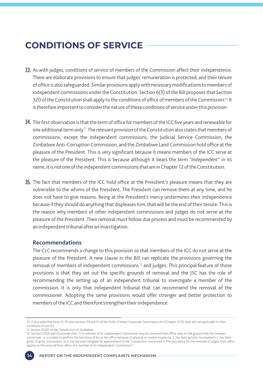# **CONDITIONS OF SERVICE**

- 33. As with judges, conditions of service of members of the Commission affect their independence. There are elaborate provisions to ensure that judges' remuneration is protected, and their tenure of office is also safeguarded. Similar provisions apply with necessary modifications to members of independent commissions under the Constitution. Section 6(3) of the Bill proposes that Section 320 of the Constitution shall apply to the conditions of office of members of the Commission.<sup>10</sup> It is therefore important to consider the nature of these conditions of service under this provision.
- $34.$  The first observation is that the term of office for members of the ICC five years and renewable for one additional term only. $"$  The relevant provision of the Constitution also states that members of commissions, except the independent commissions, the Judicial Service Commission, the Zimbabwe Anti-Corruption Commission, and the Zimbabwe Land Commission hold office at the pleasure of the President. This is very significant because it means members of the ICC serve at the pleasure of the President. This is because although it bears the term *"independent"* in its name, it is not one of the independent commissions that are in Chapter 12 of the Constitution.
- **35.** The fact that members of the ICC hold office at the President's pleasure means that they are vulnerable to the whims of the President. The President can remove them at any time, and he does not have to give reasons. Being at the President's mercy undermines their independence because if they should do anything that displeases him, that will be the end of their tenure. This is the reason why members of other independent commissions and judges do not serve at the pleasure of the President. Their removal must follow due process and must be recommended by an independent tribunal after an investigation.

### **Recommendations**

The CLC recommends a change to this provision so that members of the ICC do not serve at the pleasure of the President. A new clause in the Bill can replicate the provisions governing the removal of members of independent commissions<sup>12</sup> and judges. This principal feature of those provisions is that they set out the specific grounds of removal and the JSC has the role of recommending the setting up of an independent tribunal to investigate a member of the commission. It is only that independent tribunal that can recommend the removal of the commissioner. Adopting the same provisions would offer stronger and better protection to members of the ICC and therefore strengthen their independence.

11. Section 320(1) of the Constitution of Zimbabwe



<sup>10.</sup> It also adds that Parts III, VII and sections 34 and 37 of the Public Entities Corporate Governance Act [Chapter 10:31] shall also be applicable to their conditions of service.

<sup>12.</sup> Section 237(2) and (3) provide that: "2. A member of an independent Commission may be removed from office only on the ground that the member concerned-- a. is unable to perform the functions of his or her office because of physical or mental incapacity; b. has been grossly incompetent; c. has been guilty of gross misconduct; or d. has become ineligible for appointment to the Commission concerned. 3. The procedure for the removal of judges from office applies to the removal from office of a member of an independent Commission."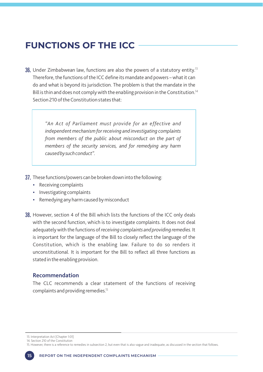# **FUNCTIONS OF THE ICC**

 $36.$  Under Zimbabwean law, functions are also the powers of a statutory entity. $^{\rm 13}$ Therefore, the functions of the ICC define its mandate and powers – what it can do and what is beyond its jurisdiction. The problem is that the mandate in the Bill is thin and does not comply with the enabling provision in the Constitution.<sup>14</sup> Section 210 of the Constitution states that:

> *"An Act of Parliament must provide for an effective and independent mechanism for receiving and investigating complaints from members of the public about misconduct on the part of members of the security services, and for remedying any harm caused by such conduct".*

- $37.$  These functions/powers can be broken down into the following:
	- Receiving complaints
	- Investigating complaints
	- Remedying any harm caused by misconduct
- $38.$  However, section 4 of the Bill which lists the functions of the ICC only deals with the second function, which is to investigate complaints. It does not deal adequately with the functions of *receiving complaints and providing remedies.* It is important for the language of the Bill to closely reflect the language of the Constitution, which is the enabling law. Failure to do so renders it unconstitutional. It is important for the Bill to reflect all three functions as stated in the enabling provision.

### **Recommendation**

The CLC recommends a clear statement of the functions of receiving complaints and providing remedies.

13. Interpretation Act [Chapter 1:01]

<sup>14.</sup> Section 210 of the Constitution

<sup>15.</sup> However, there is a reference to remedies in subsection 2, but even that is also vague and inadequate, as discussed in the section that follows.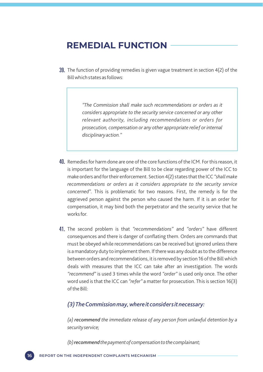# **REMEDIAL FUNCTION**

**39.** The function of providing remedies is given vague treatment in section  $4(2)$  of the Bill which states as follows:

> *"The Commission shall make such recommendations or orders as it considers appropriate to the security service concerned or any other relevant authority, including recommendations or orders for prosecution, compensation or any other appropriate relief or internal disciplinary action."*

- 40. Remedies for harm done are one of the core functions of the ICM. For this reason, it is important for the language of the Bill to be clear regarding power of the ICC to make orders and for their enforcement. Section 4(2) states that the ICC *"shall make recommendations or orders as it considers appropriate to the security service concerned".* This is problematic for two reasons. First, the remedy is for the aggrieved person against the person who caused the harm. If it is an order for compensation, it may bind both the perpetrator and the security service that he works for.
- The second problem is that *"recommendations"* and *"orders"* have different 41. consequences and there is danger of conflating them. Orders are commands that must be obeyed while recommendations can be received but ignored unless there is a mandatory duty to implement them. If there was any doubt as to the difference between orders and recommendations, it is removed by section 16 of the Bill which deals with measures that the ICC can take after an investigation. The words *"recommend"* is used 3 times while the word *"order"* is used only once. The other word used is that the ICC can *"refer"* a matter for prosecution. This is section 16(3) of the Bill:

### *(3) The Commission may, where it considers it necessary:*

*(a) recommend the immediate release of any person from unlawful detention by a security service;* 

*(b) recommend the payment of compensation to the complainant;*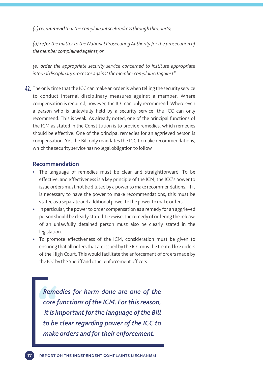*(c)recommendthat the complainant seek redress through the courts;* 

*(d) refer the matter to the National Prosecuting Authority for the prosecution of the member complained against; or* 

*(e) order the appropriate security service concerned to institute appropriate internal disciplinary processes against the member complained against"*

 $42.$  The only time that the ICC can make an order is when telling the security service to conduct internal disciplinary measures against a member. Where compensation is required, however, the ICC can only recommend. Where even a person who is unlawfully held by a security service, the ICC can only recommend. This is weak. As already noted, one of the principal functions of the ICM as stated in the Constitution is to provide remedies, which remedies should be effective. One of the principal remedies for an aggrieved person is compensation. Yet the Bill only mandates the ICC to make recommendations, which the security service has no legal obligation to follow

### **Recommendation**

- The language of remedies must be clear and straightforward. To be effective, and effectiveness is a key principle of the ICM, the ICC's power to issue orders must not be diluted by a power to make recommendations. If it is necessary to have the power to make recommendations, this must be stated as a separate and additional power to the power to make orders.
- In particular, the power to order compensation as a remedy for an aggrieved person should be clearly stated. Likewise, the remedy of ordering the release of an unlawfully detained person must also be clearly stated in the legislation.
- To promote effectiveness of the ICM, consideration must be given to ensuring that all orders that are issued by the ICC must be treated like orders of the High Court. This would facilitate the enforcement of orders made by the ICC by the Sheriff and other enforcement officers.

*Remedies for harm done are one of the core functions of the ICM. For this reason, it is important for the language of the Bill to be clear regarding power of the ICC to make orders and for their enforcement.*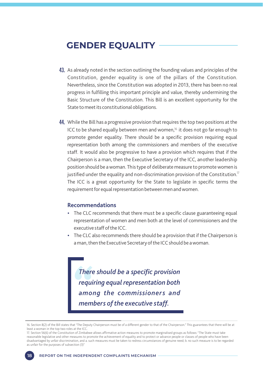# **GENDER EQUALITY**

- 43. As already noted in the section outlining the founding values and principles of the Constitution, gender equality is one of the pillars of the Constitution. Nevertheless, since the Constitution was adopted in 2013, there has been no real progress in fulfilling this important principle and value, thereby undermining the Basic Structure of the Constitution. This Bill is an excellent opportunity for the State to meet its constitutional obligations.
- 44. While the Bill has a progressive provision that requires the top two positions at the ICC to be shared equally between men and women, $16$  it does not go far enough to promote gender equality. There should be a specific provision requiring equal representation both among the commissioners and members of the executive staff. It would also be progressive to have a provision which requires that if the Chairperson is a man, then the Executive Secretary of the ICC, another leadership position should be a woman. This type of deliberate measure to promote women is justified under the equality and non-discrimination provision of the Constitution. $^{\text{\tiny{I}7}}$ The ICC is a great opportunity for the State to legislate in specific terms the requirement for equal representation between men and women.

### **Recommendations**

- The CLC recommends that there must be a specific clause guaranteeing equal representation of women and men both at the level of commissioners and the executive staff of the ICC.
- The CLC also recommends there should be a provision that if the Chairperson is a man, then the Executive Secretary of the ICC should be a woman.

*There should be a specific provision requiring equal representation both among the commissioners and members of the executive staff.* 

<sup>16.</sup> Section 8(2) of the Bill states that "The Deputy Chairperson must be of a different gender to that of the Chairperson." This guarantees that there will be at least a woman in the top two roles at the ICC.

<sup>17.</sup> Section 56(6) of the Constitution of Zimbabwe allows affirmative action measures to promote marginalised groups as follows: "The State must take reasonable legislative and other measures to promote the achievement of equality and to protect or advance people or classes of people who have been disadvantaged by unfair discrimination, and a. such measures must be taken to redress circumstances of genuine need; b. no such measure is to be regarded as unfair for the purposes of subsection (3)"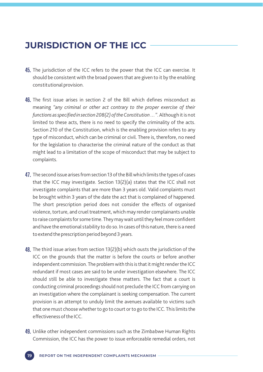# **JURISDICTION OF THE ICC**

- $45.$  The jurisdiction of the ICC refers to the power that the ICC can exercise. It should be consistent with the broad powers that are given to it by the enabling constitutional provision.
- 46. The first issue arises in section 2 of the Bill which defines misconduct as meaning *"any criminal or other act contrary to the proper exercise of their functions as specified in section 208(2) of the Constitution …"*. Although it is not limited to these acts, there is no need to specify the criminality of the acts. Section 210 of the Constitution, which is the enabling provision refers to any type of misconduct, which can be criminal or civil. There is, therefore, no need for the legislation to characterise the criminal nature of the conduct as that might lead to a limitation of the scope of misconduct that may be subject to complaints.
- **47.** The second issue arises from section 13 of the Bill which limits the types of cases that the ICC may investigate. Section 13(2)(a) states that the ICC shall not investigate complaints that are more than 3 years old. Valid complaints must be brought within 3 years of the date the act that is complained of happened. The short prescription period does not consider the effects of organised violence, torture, and cruel treatment, which may render complainants unable to raise complaints for some time. They may wait until they feel more confident and have the emotional stability to do so. In cases of this nature, there is a need to extend the prescription period beyond 3 years.
- **48.** The third issue arises from section 13(2)(b) which ousts the jurisdiction of the ICC on the grounds that the matter is before the courts or before another independent commission. The problem with this is that it might render the ICC redundant if most cases are said to be under investigation elsewhere. The ICC should still be able to investigate these matters. The fact that a court is conducting criminal proceedings should not preclude the ICC from carrying on an investigation where the complainant is seeking compensation. The current provision is an attempt to unduly limit the avenues available to victims such that one must choose whether to go to court or to go to the ICC. This limits the effectiveness of the ICC.
- 49. Unlike other independent commissions such as the Zimbabwe Human Rights Commission, the ICC has the power to issue enforceable remedial orders, not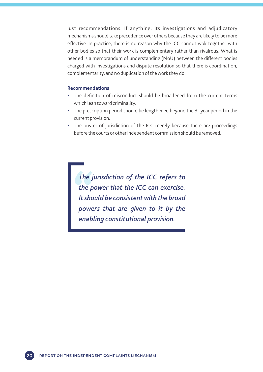just recommendations. If anything, its investigations and adjudicatory mechanisms should take precedence over others because they are likely to be more effective. In practice, there is no reason why the ICC cannot wok together with other bodies so that their work is complementary rather than rivalrous. What is needed is a memorandum of understanding (MoU) between the different bodies charged with investigations and dispute resolution so that there is coordination, complementarity, and no duplication of the work they do.

### **Recommendations**

- The definition of misconduct should be broadened from the current terms which lean toward criminality.
- The prescription period should be lengthened beyond the 3- year period in the current provision.
- The ouster of jurisdiction of the ICC merely because there are proceedings before the courts or other independent commission should be removed.

*The jurisdiction of the ICC refers to the power that the ICC can exercise. It should be consistent with the broad powers that are given to it by the enabling constitutional provision.*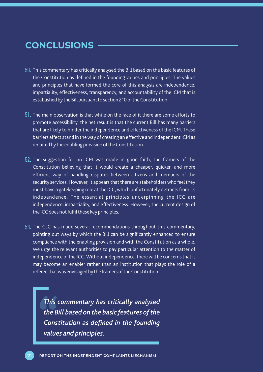# **CONCLUSIONS**

- $50\mathrm{.}$  This commentary has critically analysed the Bill based on the basic features of the Constitution as defined in the founding values and principles. The values and principles that have formed the core of this analysis are independence, impartiality, effectiveness, transparency, and accountability of the ICM that is established by the Bill pursuant to section 210 of the Constitution.
- $51.$  The main observation is that while on the face of it there are some efforts to promote accessibility, the net result is that the current Bill has many barriers that are likely to hinder the independence and effectiveness of the ICM. These barriers affect stand in the way of creating an effective and independent ICM as required by the enabling provision of the Constitution.
- $52$ . The suggestion for an ICM was made in good faith, the framers of the Constitution believing that it would create a cheaper, quicker, and more efficient way of handling disputes between citizens and members of the security services. However, it appears that there are stakeholders who feel they must have a gatekeeping role at the ICC, which unfortunately detracts from its independence. The essential principles underpinning the ICC are independence, impartiality, and effectiveness. However, the current design of the ICC does not fulfil these key principles.
- $53$ . The CLC has made several recommendations throughout this commentary, pointing out ways by which the Bill can be significantly enhanced to ensure compliance with the enabling provision and with the Constitution as a whole. We urge the relevant authorities to pay particular attention to the matter of independence of the ICC. Without independence, there will be concerns that it may become an enabler rather than an institution that plays the role of a referee that was envisaged by the framers of the Constitution.

*This commentary has critically analysed the Bill based on the basic features of the Constitution as defined in the founding values and principles.*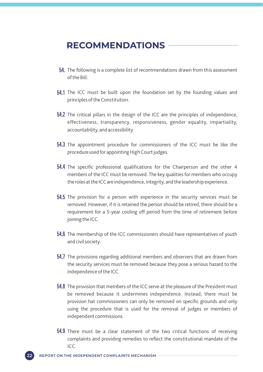## **RECOMMENDATIONS**

- **54.** The following is a complete list of recommendations drawn from this assessment of the Bill:
- 54.1 The ICC must be built upon the foundation set by the founding values and principles of the Constitution.
- 54.2 The critical pillars in the design of the ICC are the principles of independence, effectiveness, transparency, responsiveness, gender equality, impartiality, accountability, and accessibility.
- 54.3 The appointment procedure for commissioners of the ICC must be like the procedure used for appointing High Court judges.
- 54.4 The specific professional qualifications for the Chairperson and the other 4 members of the ICC must be removed. The key qualities for members who occupy the roles at the ICC are independence, integrity, and the leadership experience.
- 54.5 The provision for a person with experience in the security services must be removed. However, if it is retained the person should be retired, there should be a requirement for a 5-year cooling off period from the time of retirement before joining the ICC.
- 54.6 The membership of the ICC commissioners should have representatives of youth and civil society.
- **54.7** The provisions regarding additional members and observers that are drawn from the security services must be removed because they pose a serious hazard to the independence of the ICC.
- $54.8$  The provision that members of the ICC serve at the pleasure of the President must be removed because it undermines independence. Instead, there must be provision hat commissioners can only be removed on specific grounds and only using the procedure that is used for the removal of judges or members of independent commissions.
- 54.9 There must be a clear statement of the two critical functions of receiving complaints and providing remedies to reflect the constitutional mandate of the ICC.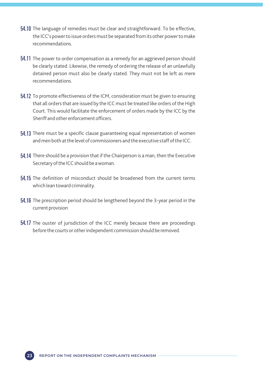- 54.10 The language of remedies must be clear and straightforward. To be effective, the ICC's power to issue orders must be separated from its other power to make recommendations.
- 54.11 The power to order compensation as a remedy for an aggrieved person should be clearly stated. Likewise, the remedy of ordering the release of an unlawfully detained person must also be clearly stated. They must not be left as mere recommendations.
- **54.12** To promote effectiveness of the ICM, consideration must be given to ensuring that all orders that are issued by the ICC must be treated like orders of the High Court. This would facilitate the enforcement of orders made by the ICC by the Sheriff and other enforcement officers.
- **54.13** There must be a specific clause guaranteeing equal representation of women and men both at the level of commissioners and the executive staff of the ICC.
- **54.14** There should be a provision that if the Chairperson is a man, then the Executive Secretary of the ICC should be a woman.
- 54.15 The definition of misconduct should be broadened from the current terms which lean toward criminality.
- **54.16** The prescription period should be lengthened beyond the 3-year period in the current provision
- 54.17 The ouster of jurisdiction of the ICC merely because there are proceedings before the courts or other independent commission should be removed.